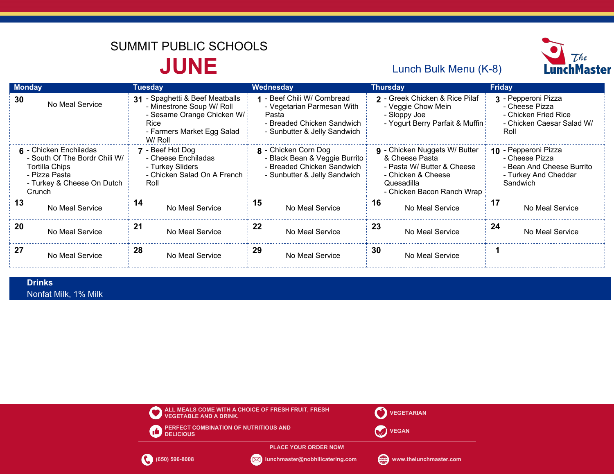# **JUNE** Lunch Bulk Menu (K-8) SUMMIT PUBLIC SCHOOLS



| <b>Monday</b>                                                                                                                             | Tuesday                                                                                                                                    | Wednesday                                                                                                                        | <b>Thursday</b>                                                                                                                                        | Friday                                                                                                  |
|-------------------------------------------------------------------------------------------------------------------------------------------|--------------------------------------------------------------------------------------------------------------------------------------------|----------------------------------------------------------------------------------------------------------------------------------|--------------------------------------------------------------------------------------------------------------------------------------------------------|---------------------------------------------------------------------------------------------------------|
| 30<br>No Meal Service                                                                                                                     | 31 - Spaghetti & Beef Meatballs<br>- Minestrone Soup W/ Roll<br>- Sesame Orange Chicken W/<br>Rice<br>- Farmers Market Egg Salad<br>W/Roll | 1 - Beef Chili W/ Cornbread<br>- Vegetarian Parmesan With<br>Pasta<br>- Breaded Chicken Sandwich<br>- Sunbutter & Jelly Sandwich | 2 - Greek Chicken & Rice Pilaf<br>- Veggie Chow Mein<br>- Sloppy Joe<br>- Yogurt Berry Parfait & Muffin                                                | 3 - Pepperoni Pizza<br>- Cheese Pizza<br>- Chicken Fried Rice<br>- Chicken Caesar Salad W/<br>Roll      |
| 6 - Chicken Enchiladas<br>- South Of The Bordr Chili W/<br><b>Tortilla Chips</b><br>- Pizza Pasta<br>- Turkey & Cheese On Dutch<br>Crunch | 7 - Beef Hot Dog<br>- Cheese Enchiladas<br>- Turkey Sliders<br>- Chicken Salad On A French<br>Roll                                         | 8 - Chicken Corn Dog<br>- Black Bean & Veggie Burrito<br>- Breaded Chicken Sandwich<br>- Sunbutter & Jelly Sandwich              | <b>g</b> - Chicken Nuggets W/ Butter<br>& Cheese Pasta<br>- Pasta W/ Butter & Cheese<br>- Chicken & Cheese<br>Quesadilla<br>- Chicken Bacon Ranch Wrap | 10 - Pepperoni Pizza<br>- Cheese Pizza<br>- Bean And Cheese Burrito<br>- Turkey And Cheddar<br>Sandwich |
| 13                                                                                                                                        | 14                                                                                                                                         | 15                                                                                                                               | 16                                                                                                                                                     | 17                                                                                                      |
| No Meal Service                                                                                                                           | No Meal Service                                                                                                                            | No Meal Service                                                                                                                  | No Meal Service                                                                                                                                        | No Meal Service                                                                                         |
| 20                                                                                                                                        | 21                                                                                                                                         | 22                                                                                                                               | 23                                                                                                                                                     | 24                                                                                                      |
| No Meal Service                                                                                                                           | No Meal Service                                                                                                                            | No Meal Service                                                                                                                  | No Meal Service                                                                                                                                        | No Meal Service                                                                                         |
| 27                                                                                                                                        | 28                                                                                                                                         | 29                                                                                                                               | 30                                                                                                                                                     |                                                                                                         |
| No Meal Service                                                                                                                           | No Meal Service                                                                                                                            | No Meal Service                                                                                                                  | No Meal Service                                                                                                                                        |                                                                                                         |

 Nonfat Milk, 1% Milk **Drinks**